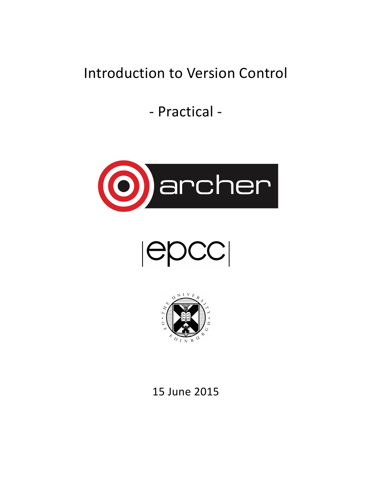# Introduction to Version Control

- Practical -



 $|{\sf epCC}|$ 



15 June 2015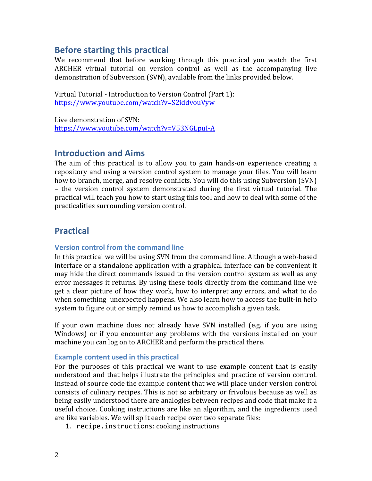## **Before starting this practical**

We recommend that before working through this practical you watch the first ARCHER virtual tutorial on version control as well as the accompanying live demonstration of Subversion (SVN), available from the links provided below.

Virtual Tutorial - Introduction to Version Control (Part 1): https://www.youtube.com/watch?v=S2iddvouVyw

Live demonstration of SVN: https://www.youtube.com/watch?v=V53NGLpuI-A

### **Introduction and Aims**

The aim of this practical is to allow you to gain hands-on experience creating a repository and using a version control system to manage your files. You will learn how to branch, merge, and resolve conflicts. You will do this using Subversion (SVN) – the version control system demonstrated during the first virtual tutorial. The practical will teach you how to start using this tool and how to deal with some of the practicalities surrounding version control.

## **Practical**

#### **Version control from the command line**

In this practical we will be using SVN from the command line. Although a web-based interface or a standalone application with a graphical interface can be convenient it may hide the direct commands issued to the version control system as well as any error messages it returns. By using these tools directly from the command line we get a clear picture of how they work, how to interpret any errors, and what to do when something unexpected happens. We also learn how to access the built-in help system to figure out or simply remind us how to accomplish a given task.

If your own machine does not already have SVN installed (e.g. if you are using Windows) or if you encounter any problems with the versions installed on your machine you can log on to ARCHER and perform the practical there.

#### **Example content used in this practical**

For the purposes of this practical we want to use example content that is easily understood and that helps illustrate the principles and practice of version control. Instead of source code the example content that we will place under version control consists of culinary recipes. This is not so arbitrary or frivolous because as well as being easily understood there are analogies between recipes and code that make it a useful choice. Cooking instructions are like an algorithm, and the ingredients used are like variables. We will split each recipe over two separate files:

1. recipe.instructions: cooking instructions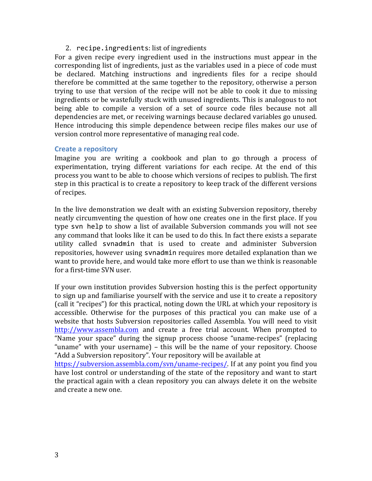#### 2. recipe.ingredients: list of ingredients

For a given recipe every ingredient used in the instructions must appear in the corresponding list of ingredients, just as the variables used in a piece of code must be declared. Matching instructions and ingredients files for a recipe should therefore be committed at the same together to the repository, otherwise a person trying to use that version of the recipe will not be able to cook it due to missing ingredients or be wastefully stuck with unused ingredients. This is analogous to not being able to compile a version of a set of source code files because not all dependencies are met, or receiving warnings because declared variables go unused. Hence introducing this simple dependence between recipe files makes our use of version control more representative of managing real code.

#### **Create a repository**

Imagine you are writing a cookbook and plan to go through a process of experimentation, trying different variations for each recipe. At the end of this process you want to be able to choose which versions of recipes to publish. The first step in this practical is to create a repository to keep track of the different versions of recipes.

In the live demonstration we dealt with an existing Subversion repository, thereby neatly circumventing the question of how one creates one in the first place. If you type svn help to show a list of available Subversion commands you will not see any command that looks like it can be used to do this. In fact there exists a separate utility called svnadmin that is used to create and administer Subversion repositories, however using svnadmin requires more detailed explanation than we want to provide here, and would take more effort to use than we think is reasonable for a first-time SVN user.

If your own institution provides Subversion hosting this is the perfect opportunity to sign up and familiarise yourself with the service and use it to create a repository (call it "recipes") for this practical, noting down the URL at which your repository is accessible. Otherwise for the purposes of this practical you can make use of a website that hosts Subversion repositories called Assembla. You will need to visit http://www.assembla.com and create a free trial account. When prompted to "Name your space" during the signup process choose "uname-recipes" (replacing "uname" with your username) – this will be the name of your repository. Choose "Add a Subversion repository". Your repository will be available at

https://subversion.assembla.com/svn/uname-recipes/. If at any point you find you have lost control or understanding of the state of the repository and want to start the practical again with a clean repository you can always delete it on the website and create a new one.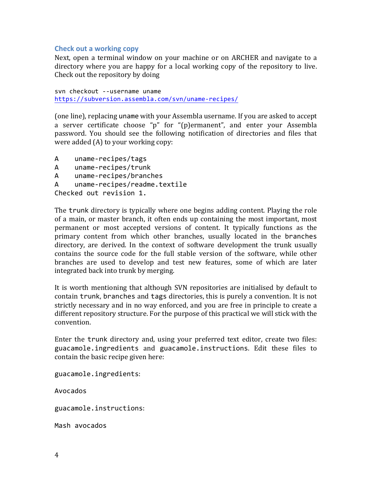#### **Check out a working copy**

Next, open a terminal window on your machine or on ARCHER and navigate to a directory where you are happy for a local working copy of the repository to live. Check out the repository by doing

svn checkout --username uname https://subversion.assembla.com/svn/uname-recipes/

(one line), replacing uname with your Assembla username. If you are asked to accept a server certificate choose "p" for "(p)ermanent", and enter your Assembla password. You should see the following notification of directories and files that were added  $(A)$  to your working copy:

A uname-recipes/tags A uname-recipes/trunk

```
A uname-recipes/branches
```
A uname-recipes/readme.textile

Checked out revision 1.

The trunk directory is typically where one begins adding content. Playing the role of a main, or master branch, it often ends up containing the most important, most permanent or most accepted versions of content. It typically functions as the primary content from which other branches, usually located in the branches directory, are derived. In the context of software development the trunk usually contains the source code for the full stable version of the software, while other branches are used to develop and test new features, some of which are later integrated back into trunk by merging.

It is worth mentioning that although SVN repositories are initialised by default to contain trunk, branches and tags directories, this is purely a convention. It is not strictly necessary and in no way enforced, and you are free in principle to create a different repository structure. For the purpose of this practical we will stick with the convention.

Enter the trunk directory and, using your preferred text editor, create two files: guacamole.ingredients and guacamole.instructions. Edit these files to contain the basic recipe given here:

guacamole.ingredients:

Avocados

guacamole.instructions:

Mash avocados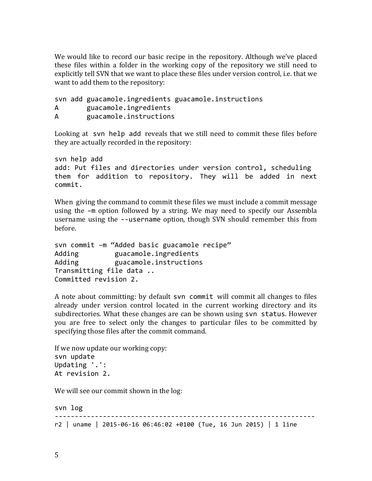We would like to record our basic recipe in the repository. Although we've placed these files within a folder in the working copy of the repository we still need to explicitly tell SVN that we want to place these files under version control, i.e. that we want to add them to the repository:

svn add guacamole.ingredients guacamole.instructions A guacamole.ingredients A guacamole.instructions

Looking at svn help add reveals that we still need to commit these files before they are actually recorded in the repository:

```
svn help add
add: Put files and directories under version control, scheduling
them for addition to repository. They will be added in next
commit.
```
When giving the command to commit these files we must include a commit message using the  $-m$  option followed by a string. We may need to specify our Assembla username using the --username option, though SVN should remember this from before.

svn commit -m "Added basic guacamole recipe" Adding suacamole.ingredients Adding euacamole.instructions Transmitting file data .. Committed revision 2.

A note about committing: by default svn commit will commit all changes to files already under version control located in the current working directory and its subdirectories. What these changes are can be shown using svn status. However you are free to select only the changes to particular files to be committed by specifying those files after the commit command.

```
If we now update our working copy:
svn update
Updating '.':
At revision 2.
```
We will see our commit shown in the log:

svn log ----------------------------------------------------------------  $r2$  | uname | 2015-06-16 06:46:02 +0100 (Tue, 16 Jun 2015) | 1 line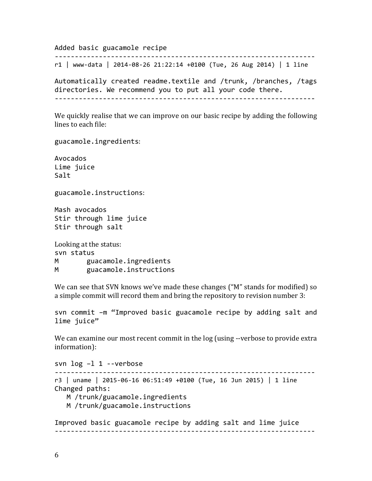Added basic guacamole recipe

----------------------------------------------------------------  $r1$  | www-data | 2014-08-26 21:22:14 +0100 (Tue, 26 Aug 2014) | 1 line

Automatically created readme.textile and /trunk, /branches, /tags directories. We recommend you to put all your code there. -----------------------------------------------------------------

We quickly realise that we can improve on our basic recipe by adding the following lines to each file:

guacamole.ingredients:

Avocados Lime juice Salt

guacamole.instructions:

Mash avocados Stir through lime juice Stir through salt

Looking at the status: svn status M guacamole.ingredients M guacamole.instructions

We can see that SVN knows we've made these changes ("M" stands for modified) so a simple commit will record them and bring the repository to revision number 3:

svn commit -m "Improved basic guacamole recipe by adding salt and lime juice"

We can examine our most recent commit in the  $log$  (using --verbose to provide extra information):

svn log -1 1 --verbose ----------------------------------------------------------------  $r3$  | uname | 2015-06-16 06:51:49 +0100 (Tue, 16 Jun 2015) | 1 line Changed paths: M /trunk/guacamole.ingredients M /trunk/guacamole.instructions

Improved basic guacamole recipe by adding salt and lime juice -----------------------------------------------------------------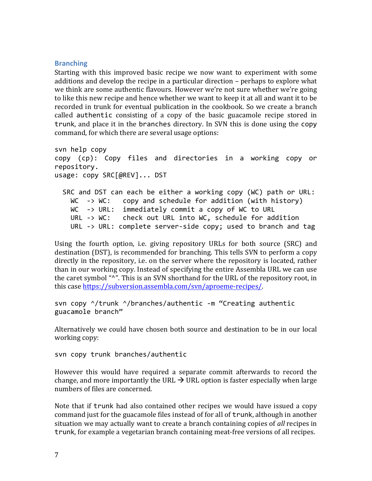#### **Branching**

Starting with this improved basic recipe we now want to experiment with some additions and develop the recipe in a particular direction – perhaps to explore what we think are some authentic flavours. However we're not sure whether we're going to like this new recipe and hence whether we want to keep it at all and want it to be recorded in trunk for eventual publication in the cookbook. So we create a branch called authentic consisting of a copy of the basic guacamole recipe stored in trunk, and place it in the branches directory. In SVN this is done using the copy command, for which there are several usage options:

```
svn help copy
copy (cp): Copy files and directories in a working copy or
repository.
usage: copy SRC[@REV]... DST
  SRC and DST can each be either a working copy (WC) path or URL:
    WC \rightarrow WC: copy and schedule for addition (with history)
    WC \rightarrow URL: immediately commit a copy of WC to URLURL -> WC: check out URL into WC, schedule for addition
    URL \rightarrow URL: complete server-side copy; used to branch and tag
```
Using the fourth option, i.e. giving repository URLs for both source (SRC) and destination (DST), is recommended for branching. This tells SVN to perform a copy directly in the repository, i.e. on the server where the repository is located, rather than in our working copy. Instead of specifying the entire Assembla URL we can use the caret symbol "^". This is an SVN shorthand for the URL of the repository root, in this case https://subversion.assembla.com/svn/aproeme-recipes/.

```
svn copy \gamma/trunk \gamma/branches/authentic -m "Creating authentic
guacamole branch"
```
Alternatively we could have chosen both source and destination to be in our local working copy:

svn copy trunk branches/authentic

However this would have required a separate commit afterwards to record the change, and more importantly the URL  $\rightarrow$  URL option is faster especially when large numbers of files are concerned.

Note that if trunk had also contained other recipes we would have issued a copy command just for the guacamole files instead of for all of trunk, although in another situation we may actually want to create a branch containing copies of *all* recipes in trunk, for example a vegetarian branch containing meat-free versions of all recipes.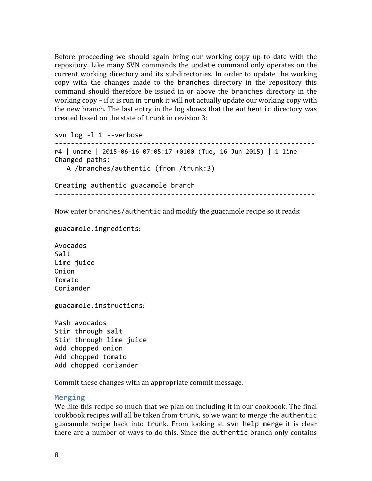Before proceeding we should again bring our working copy up to date with the repository. Like many SVN commands the update command only operates on the current working directory and its subdirectories. In order to update the working copy with the changes made to the branches directory in the repository this command should therefore be issued in or above the branches directory in the working  $copy$  – if it is run in trunk it will not actually update our working copy with the new branch. The last entry in the log shows that the authentic directory was created based on the state of trunk in revision 3:

svn log -1 1 --verbose ----------------------------------------------------------------  $r4$  | uname | 2015-06-16 07:05:17 +0100 (Tue, 16 Jun 2015) | 1 line Changed paths: A /branches/authentic (from /trunk:3)

Creating authentic guacamole branch -----------------------------------------------------------------

Now enter branches/authentic and modify the guacamole recipe so it reads:

guacamole.ingredients:

Avocados Salt Lime juice Onion Tomato Coriander

guacamole.instructions:

Mash avocados Stir through salt Stir through lime juice Add chopped onion Add chopped tomato Add chopped coriander

Commit these changes with an appropriate commit message.

#### **Merging**

We like this recipe so much that we plan on including it in our cookbook. The final cookbook recipes will all be taken from trunk, so we want to merge the authentic guacamole recipe back into trunk. From looking at svn help merge it is clear there are a number of ways to do this. Since the authentic branch only contains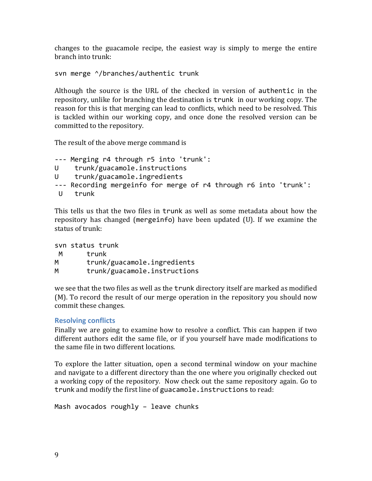changes to the guacamole recipe, the easiest way is simply to merge the entire branch into trunk:

svn merge  $\land$ /branches/authentic trunk

Although the source is the URL of the checked in version of authentic in the repository, unlike for branching the destination is trunk in our working copy. The reason for this is that merging can lead to conflicts, which need to be resolved. This is tackled within our working copy, and once done the resolved version can be committed to the repository.

The result of the above merge command is

```
--- Merging r4 through r5 into 'trunk':
U trunk/guacamole.instructions
U trunk/guacamole.ingredients
--- Recording mergeinfo for merge of r4 through r6 into 'trunk':
U trunk
```
This tells us that the two files in trunk as well as some metadata about how the repository has changed (mergeinfo) have been updated (U). If we examine the status of  $trunk$ :

svn status trunk M trunk M trunk/guacamole.ingredients M trunk/guacamole.instructions

we see that the two files as well as the trunk directory itself are marked as modified (M). To record the result of our merge operation in the repository you should now commit these changes.

#### **Resolving conflicts**

Finally we are going to examine how to resolve a conflict. This can happen if two different authors edit the same file, or if you yourself have made modifications to the same file in two different locations.

To explore the latter situation, open a second terminal window on your machine and navigate to a different directory than the one where you originally checked out a working copy of the repository. Now check out the same repository again. Go to trunk and modify the first line of guacamole. instructions to read:

Mash avocados roughly  $-$  leave chunks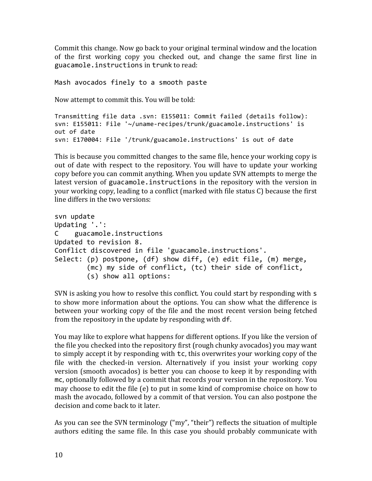Commit this change. Now go back to your original terminal window and the location of the first working copy you checked out, and change the same first line in guacamole.instructions in trunk to read:

Mash avocados finely to a smooth paste

Now attempt to commit this. You will be told:

```
Transmitting file data .svn: E155011: Commit failed (details follow):
svn: E155011: File '~/uname-recipes/trunk/guacamole.instructions' is
out	of	date
svn: E170004: File '/trunk/guacamole.instructions' is out of date
```
This is because you committed changes to the same file, hence your working copy is out of date with respect to the repository. You will have to update your working copy before you can commit anything. When you update SVN attempts to merge the latest version of guacamole.instructions in the repository with the version in your working copy, leading to a conflict (marked with file status C) because the first line differs in the two versions:

```
svn update
Updating '.':
C guacamole.instructions
Updated to revision 8.
Conflict discovered in file 'guacamole.instructions'.
Select: (p) postpone, (df) show diff, (e) edit file, (m) merge,
        (mc) my side of conflict, (tc) their side of conflict,
        (s) show all options:
```
SVN is asking you how to resolve this conflict. You could start by responding with s to show more information about the options. You can show what the difference is between your working copy of the file and the most recent version being fetched from the repository in the update by responding with df.

You may like to explore what happens for different options. If you like the version of the file you checked into the repository first (rough chunky avocados) you may want to simply accept it by responding with  $tc$ , this overwrites your working copy of the file with the checked-in version. Alternatively if you insist your working copy version (smooth avocados) is better you can choose to keep it by responding with mc, optionally followed by a commit that records your version in the repository. You may choose to edit the file  $(e)$  to put in some kind of compromise choice on how to mash the avocado, followed by a commit of that version. You can also postpone the decision and come back to it later.

As you can see the SVN terminology ("my", "their") reflects the situation of multiple authors editing the same file. In this case you should probably communicate with